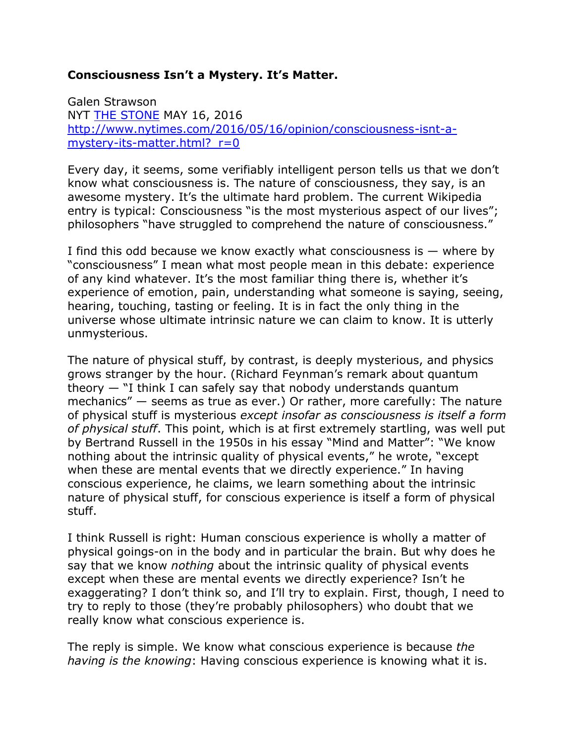## **Consciousness Isn't a Mystery. It's Matter.**

Galen Strawson NYT [THE STONE](http://www.nytimes.com/column/the-stone) MAY 16, 2016 [http://www.nytimes.com/2016/05/16/opinion/consciousness-isnt-a](http://www.nytimes.com/2016/05/16/opinion/consciousness-isnt-a-mystery-its-matter.html?_r=0)mystery-its-matter.html? $r=0$ 

Every day, it seems, some verifiably intelligent person tells us that we don't know what consciousness is. The nature of consciousness, they say, is an awesome mystery. It's the ultimate hard problem. The current Wikipedia entry is typical: Consciousness "is the most mysterious aspect of our lives"; philosophers "have struggled to comprehend the nature of consciousness."

I find this odd because we know exactly what consciousness is — where by "consciousness" I mean what most people mean in this debate: experience of any kind whatever. It's the most familiar thing there is, whether it's experience of emotion, pain, understanding what someone is saying, seeing, hearing, touching, tasting or feeling. It is in fact the only thing in the universe whose ultimate intrinsic nature we can claim to know. It is utterly unmysterious.

The nature of physical stuff, by contrast, is deeply mysterious, and physics grows stranger by the hour. (Richard Feynman's remark about quantum theory  $-$  "I think I can safely say that nobody understands quantum mechanics" — seems as true as ever.) Or rather, more carefully: The nature of physical stuff is mysterious *except insofar as consciousness is itself a form of physical stuff*. This point, which is at first extremely startling, was well put by Bertrand Russell in the 1950s in his essay "Mind and Matter": "We know nothing about the intrinsic quality of physical events," he wrote, "except when these are mental events that we directly experience." In having conscious experience, he claims, we learn something about the intrinsic nature of physical stuff, for conscious experience is itself a form of physical stuff.

I think Russell is right: Human conscious experience is wholly a matter of physical goings-on in the body and in particular the brain. But why does he say that we know *nothing* about the intrinsic quality of physical events except when these are mental events we directly experience? Isn't he exaggerating? I don't think so, and I'll try to explain. First, though, I need to try to reply to those (they're probably philosophers) who doubt that we really know what conscious experience is.

The reply is simple. We know what conscious experience is because *the having is the knowing*: Having conscious experience is knowing what it is.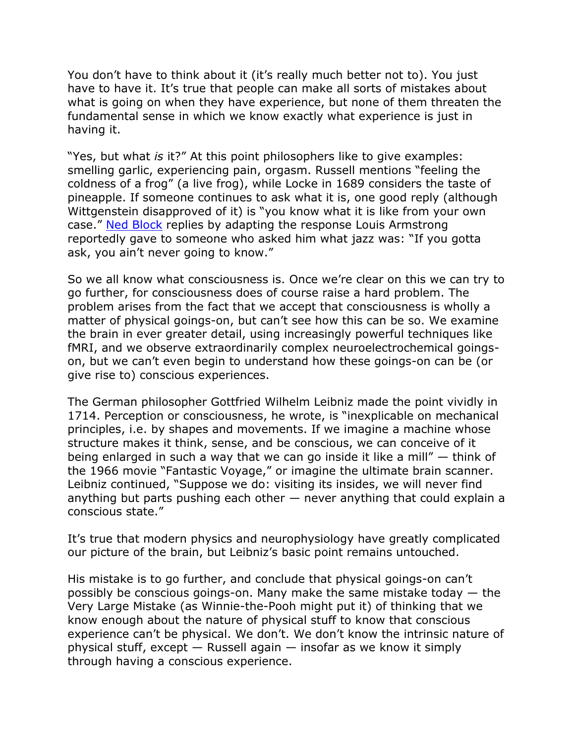You don't have to think about it (it's really much better not to). You just have to have it. It's true that people can make all sorts of mistakes about what is going on when they have experience, but none of them threaten the fundamental sense in which we know exactly what experience is just in having it.

"Yes, but what *is* it?" At this point philosophers like to give examples: smelling garlic, experiencing pain, orgasm. Russell mentions "feeling the coldness of a frog" (a live frog), while Locke in 1689 considers the taste of pineapple. If someone continues to ask what it is, one good reply (although Wittgenstein disapproved of it) is "you know what it is like from your own case." [Ned Block](http://www.nyu.edu/gsas/dept/philo/faculty/block/) replies by adapting the response Louis Armstrong reportedly gave to someone who asked him what jazz was: "If you gotta ask, you ain't never going to know."

So we all know what consciousness is. Once we're clear on this we can try to go further, for consciousness does of course raise a hard problem. The problem arises from the fact that we accept that consciousness is wholly a matter of physical goings-on, but can't see how this can be so. We examine the brain in ever greater detail, using increasingly powerful techniques like fMRI, and we observe extraordinarily complex neuroelectrochemical goingson, but we can't even begin to understand how these goings-on can be (or give rise to) conscious experiences.

The German philosopher Gottfried Wilhelm Leibniz made the point vividly in 1714. Perception or consciousness, he wrote, is "inexplicable on mechanical principles, i.e. by shapes and movements. If we imagine a machine whose structure makes it think, sense, and be conscious, we can conceive of it being enlarged in such a way that we can go inside it like a mill" — think of the 1966 movie "Fantastic Voyage," or imagine the ultimate brain scanner. Leibniz continued, "Suppose we do: visiting its insides, we will never find anything but parts pushing each other — never anything that could explain a conscious state."

It's true that modern physics and neurophysiology have greatly complicated our picture of the brain, but Leibniz's basic point remains untouched.

His mistake is to go further, and conclude that physical goings-on can't possibly be conscious goings-on. Many make the same mistake today — the Very Large Mistake (as Winnie-the-Pooh might put it) of thinking that we know enough about the nature of physical stuff to know that conscious experience can't be physical. We don't. We don't know the intrinsic nature of physical stuff, except — Russell again — insofar as we know it simply through having a conscious experience.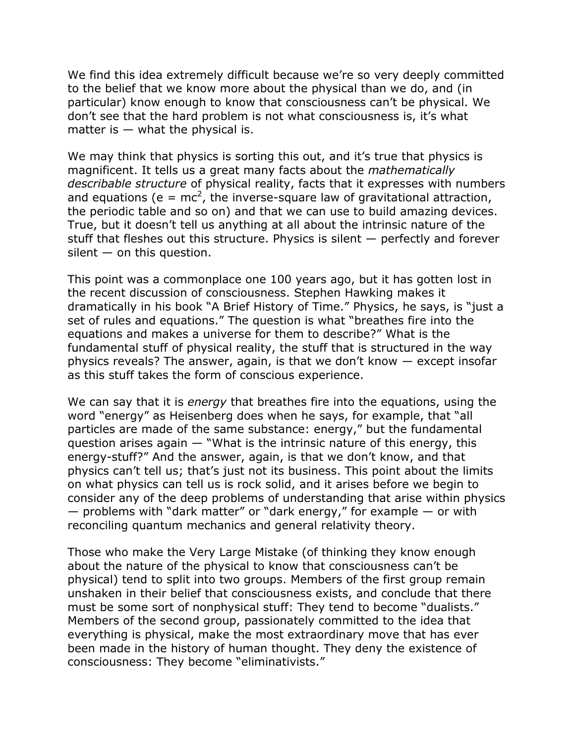We find this idea extremely difficult because we're so very deeply committed to the belief that we know more about the physical than we do, and (in particular) know enough to know that consciousness can't be physical. We don't see that the hard problem is not what consciousness is, it's what matter is  $-$  what the physical is.

We may think that physics is sorting this out, and it's true that physics is magnificent. It tells us a great many facts about the *mathematically describable structure* of physical reality, facts that it expresses with numbers and equations (e =  $mc^2$ , the inverse-square law of gravitational attraction, the periodic table and so on) and that we can use to build amazing devices. True, but it doesn't tell us anything at all about the intrinsic nature of the stuff that fleshes out this structure. Physics is silent — perfectly and forever  $s$ ilent  $-$  on this question.

This point was a commonplace one 100 years ago, but it has gotten lost in the recent discussion of consciousness. Stephen Hawking makes it dramatically in his book "A Brief History of Time." Physics, he says, is "just a set of rules and equations." The question is what "breathes fire into the equations and makes a universe for them to describe?" What is the fundamental stuff of physical reality, the stuff that is structured in the way physics reveals? The answer, again, is that we don't know — except insofar as this stuff takes the form of conscious experience.

We can say that it is *energy* that breathes fire into the equations, using the word "energy" as Heisenberg does when he says, for example, that "all particles are made of the same substance: energy," but the fundamental question arises again  $-$  "What is the intrinsic nature of this energy, this energy-stuff?" And the answer, again, is that we don't know, and that physics can't tell us; that's just not its business. This point about the limits on what physics can tell us is rock solid, and it arises before we begin to consider any of the deep problems of understanding that arise within physics  $-$  problems with "dark matter" or "dark energy," for example  $-$  or with reconciling quantum mechanics and general relativity theory.

Those who make the Very Large Mistake (of thinking they know enough about the nature of the physical to know that consciousness can't be physical) tend to split into two groups. Members of the first group remain unshaken in their belief that consciousness exists, and conclude that there must be some sort of nonphysical stuff: They tend to become "dualists." Members of the second group, passionately committed to the idea that everything is physical, make the most extraordinary move that has ever been made in the history of human thought. They deny the existence of consciousness: They become "eliminativists."